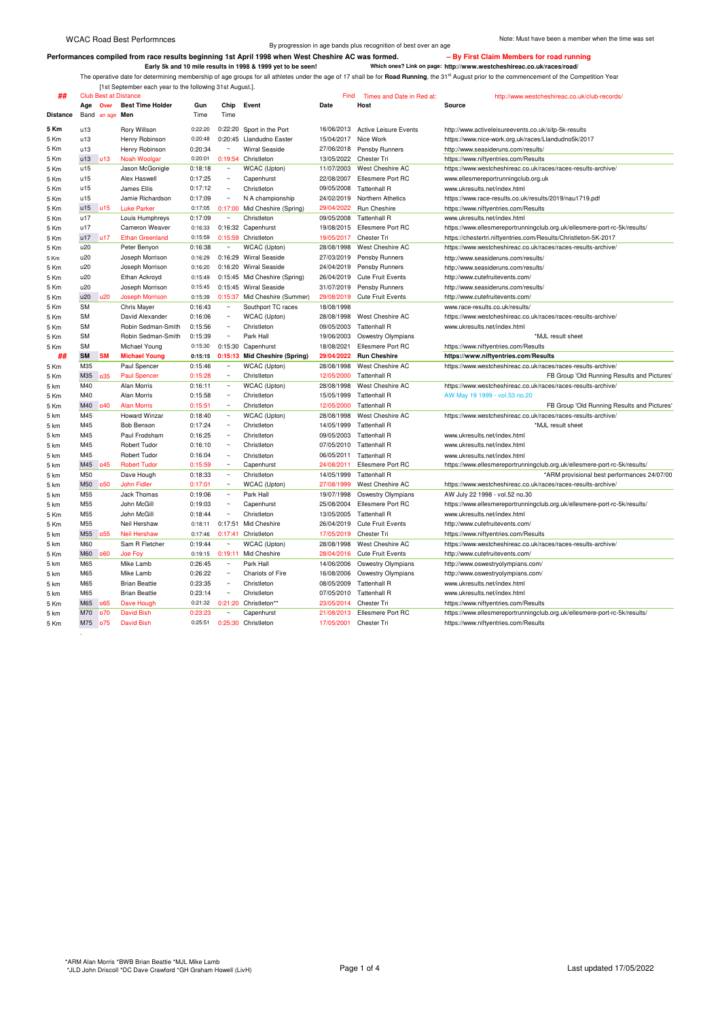Berformances compiled from race results beginning 1st April 1998 when West Cheshire AC was formed.<br>Early 5k and 10 mile results in 1998 & 1999 yet to be seen! Which ones? Link on page: http://www.westcheshireac.co.uk/race

[1st September each year to the following 31st August.].

| ##              |            |            | <b>Club Best at Distance</b> |                    |                       |                               | Find                     | Times and Date in Red at:               | http://www.westcheshireac.co.uk/club-records/                                                  |
|-----------------|------------|------------|------------------------------|--------------------|-----------------------|-------------------------------|--------------------------|-----------------------------------------|------------------------------------------------------------------------------------------------|
|                 | Age        | Over       | <b>Best Time Holder</b>      | Gun                | Chip                  | Event                         | Date                     | Host                                    | Source                                                                                         |
| <b>Distance</b> | Band       | an age     | Men                          | Time               | Time                  |                               |                          |                                         |                                                                                                |
| 5 Km            | u13        |            | Rory Willson                 | 0:22:20            | 0:22:20               | Sport in the Port             |                          | 16/06/2013 Active Leisure Events        | http://www.activeleisureevents.co.uk/sitp-5k-results                                           |
| 5 Km            | u13        |            | Henry Robinson               | 0:20:48            | 0:20:45               | Llandudno Easter              | 15/04/2017 Nice Work     |                                         | https://www.nice-work.org.uk/races/Llandudno5k/2017                                            |
| 5 Km            | u13        |            | Henry Robinson               | 0:20:34            | $\sim$                | <b>Wirral Seaside</b>         |                          | 27/06/2018 Pensby Runners               | http://www.seasideruns.com/results/                                                            |
| 5 Km            | u13        | u13        | Noah Woolgar                 | 0:20:01            | 0:19:54               | Christleton                   | 13/05/2022               | Chester Tri                             | https://www.niftyentries.com/Results                                                           |
| 5 Km            | u15        |            | Jason McGonigle              | 0:18:18            | $\sim$                | WCAC (Upton)                  | 11/07/2003               | West Cheshire AC                        | https://www.westcheshireac.co.uk/races/races-results-archive/                                  |
| 5 Km            | u15        |            | Alex Haswell                 | 0:17:25            | $\sim$                | Capenhurst                    | 22/08/2007               | Ellesmere Port RC                       | www.ellesmereportrunningclub.org.uk                                                            |
| 5 Km            | u15        |            | James Ellis                  | 0:17:12            | $\sim$                | Christleton                   | 09/05/2008               | <b>Tattenhall R</b>                     | www.ukresults.net/index.html                                                                   |
| 5 Km            | u15        |            | Jamie Richardson             | 0:17:09            | $\sim$                | N A championship              | 24/02/2019               | Northern Athetics                       | https://www.race-results.co.uk/results/2019/nau1719.pdf                                        |
| 5 Km            | u15        | u15        | <b>Luke Parker</b>           | 0:17:05            |                       | 0:17:00 Mid Cheshire (Spring) | 29/04/2022               | Run Cheshire                            | https://www.niftyentries.com/Results                                                           |
| 5 Km            | u17        |            | Louis Humphreys              | 0:17:09            | $\sim$                | Christleton                   | 09/05/2008               | <b>Tattenhall R</b>                     | www.ukresults.net/index.html                                                                   |
| 5 Km            | u17        |            | Cameron Weaver               | 0:16:33            |                       | 0:16:32 Capenhurst            | 19/08/2015               | Ellesmere Port RC                       | https://www.ellesmereportrunningclub.org.uk/ellesmere-port-rc-5k/results/                      |
| 5 Km            | u17        | u17        | <b>Ethan Greenland</b>       | 0:15:59            |                       | 0:15:59 Christleton           | 19/05/2017               | Chester Tri                             | https://chestertri.niftyentries.com/Results/Christleton-5K-2017                                |
| 5 Km            | u20        |            | Peter Benyon                 | 0:16:38            | $\sim$                | WCAC (Upton)                  | 28/08/1998               | West Cheshire AC                        | https://www.westcheshireac.co.uk/races/races-results-archive/                                  |
| 5 Km            | u20        |            | Joseph Morrison              | 0:16:29            | 0:16:29               | <b>Wirral Seaside</b>         | 27/03/2019               | Pensby Runners                          | http://www.seasideruns.com/results/                                                            |
| 5 Km            | u20        |            | Joseph Morrison              | 0:16:20            |                       | 0:16:20 Wirral Seaside        |                          | 24/04/2019 Pensby Runners               | http://www.seasideruns.com/results/                                                            |
| 5 Km            | u20        |            | Ethan Ackroyd                | 0:15:49            |                       | 0:15:45 Mid Cheshire (Spring) | 26/04/2019               | <b>Cute Fruit Events</b>                | http://www.cutefruitevents.com/                                                                |
| 5 Km            | u20        |            | Joseph Morrison              | 0:15:45            |                       | 0:15:45 Wirral Seaside        | 31/07/2019               | Pensby Runners                          | http://www.seasideruns.com/results/                                                            |
| 5 Km            | u20        | u20        | <b>Joseph Morrison</b>       | 0:15:39            |                       | 0:15:37 Mid Cheshire (Summer) | 29/08/2019               | <b>Cute Fruit Events</b>                | http://www.cutefruitevents.com/                                                                |
| 5 Km            | <b>SM</b>  |            | Chris Mayer                  | 0:16:43            | $\sim$                | Southport TC races            | 18/08/1998               |                                         | www.race-results.co.uk/results/                                                                |
| 5 Km            | <b>SM</b>  |            | David Alexander              | 0:16:06            | $\sim$                | WCAC (Upton)                  | 28/08/1998               | West Cheshire AC                        | https://www.westcheshireac.co.uk/races/races-results-archive/                                  |
| 5 Km            | <b>SM</b>  |            | Robin Sedman-Smith           | 0:15:56            | $\sim$                | Christleton                   | 09/05/2003               | <b>Tattenhall R</b>                     | www.ukresults.net/index.html                                                                   |
| 5 Km            | <b>SM</b>  |            | Robin Sedman-Smith           | 0:15:39            | $\sim$                | Park Hall                     | 19/06/2003               | <b>Oswestry Olympians</b>               | *MJL result sheet                                                                              |
| 5 Km            | <b>SM</b>  |            | Michael Young                | 0:15:30            | 0:15:30               | Capenhurst                    | 18/08/2021               | Ellesmere Port RC                       | https://www.niftyentries.com/Results                                                           |
| ##              | <b>SM</b>  | <b>SM</b>  | <b>Michael Young</b>         | 0:15:15            | 0:15:13               | <b>Mid Cheshire (Spring)</b>  | 29/04/2022               | <b>Run Cheshire</b>                     | https://www.niftyentries.com/Results                                                           |
|                 | M35        |            | Paul Spencer                 | 0:15:46            |                       | WCAC (Upton)                  | 28/08/1998               | West Cheshire AC                        | https://www.westcheshireac.co.uk/races/races-results-archive/                                  |
| 5 Km            | M35        | 035        | <b>Paul Spencer</b>          | 0:15:28            | $\sim$                | Christleton                   | 12/05/2000               | <b>Tattenhall R</b>                     | FB Group 'Old Running Results and Pictures'                                                    |
| 5 Km            |            |            |                              |                    | $\sim$                |                               |                          |                                         |                                                                                                |
| 5 km            | M40<br>M40 |            | Alan Morris<br>Alan Morris   | 0:16:11<br>0:15:58 | $\sim$                | WCAC (Upton)<br>Christleton   | 28/08/1998<br>15/05/1999 | West Cheshire AC<br><b>Tattenhall R</b> | https://www.westcheshireac.co.uk/races/races-results-archive/<br>AW May 19 1999 - vol.53 no.20 |
| 5 Km            |            | o40        |                              |                    | $\sim$                |                               |                          |                                         |                                                                                                |
| 5 Km            | M40        |            | <b>Alan Morris</b>           | 0:15:51            | $\sim$                | Christleton                   | 12/05/2000               | <b>Tattenhall R</b>                     | FB Group 'Old Running Results and Pictures'                                                    |
| 5 km            | M45        |            | <b>Howard Winzar</b>         | 0:18:40            |                       | WCAC (Upton)                  | 28/08/1998               | West Cheshire AC                        | https://www.westcheshireac.co.uk/races/races-results-archive/                                  |
| 5 km            | M45        |            | <b>Bob Benson</b>            | 0:17:24            | $\sim$                | Christleton                   | 14/05/1999               | <b>Tattenhall R</b>                     | *MJL result sheet                                                                              |
| 5 km            | M45        |            | Paul Frodsham                | 0:16:25            | $\sim$                | Christleton                   | 09/05/2003               | <b>Tattenhall R</b>                     | www.ukresults.net/index.html                                                                   |
| 5 km            | M45        |            | Robert Tudor                 | 0:16:10            | $\sim$                | Christleton                   | 07/05/2010               | <b>Tattenhall R</b>                     | www.ukresults.net/index.html                                                                   |
| 5 km            | M45        |            | Robert Tudor                 | 0:16:04            | $\sim$                | Christleton                   |                          | 06/05/2011 Tattenhall R                 | www.ukresults.net/index.html                                                                   |
| 5 km            | M45        | 045        | <b>Robert Tudor</b>          | 0:15:59            | $\sim$                | Capenhurst                    | 24/08/2011               | Ellesmere Port RC                       | https://www.ellesmereportrunningclub.org.uk/ellesmere-port-rc-5k/results/                      |
| 5 km            | M50        |            | Dave Hough                   | 0:18:33            | $\sim$                | Christleton                   | 14/05/1999               | <b>Tattenhall R</b>                     | *ARM provisional best performances 24/07/00                                                    |
| 5 km            | M50        | <b>o50</b> | <b>John Fidler</b>           | 0:17:01            | $\sim$                | WCAC (Upton)                  | 27/08/1999               | West Cheshire AC                        | https://www.westcheshireac.co.uk/races/races-results-archive/                                  |
| 5 km            | M55        |            | Jack Thomas                  | 0:19:06            | $\sim$                | Park Hall                     | 19/07/1998               | <b>Oswestry Olympians</b>               | AW July 22 1998 - vol.52 no.30                                                                 |
| 5 km            | M55        |            | John McGill                  | 0:19:03            | $\sim$                | Capenhurst                    | 25/08/2004               | Ellesmere Port RC                       | https://www.ellesmereportrunningclub.org.uk/ellesmere-port-rc-5k/results/                      |
| 5 Km            | M55        |            | John McGill                  | 0:18:44            | $\sim$                | Christleton                   | 13/05/2005               | <b>Tattenhall R</b>                     | www.ukresults.net/index.html                                                                   |
| 5 Km            | M55        |            | Neil Hershaw                 | 0:18:11            | 0:17:51               | Mid Cheshire                  | 26/04/2019               | <b>Cute Fruit Events</b>                | http://www.cutefruitevents.com/                                                                |
| 5 km            | M55        | o55        | <b>Neil Hershaw</b>          | 0:17:46            | 0:17:41               | Christleton                   | 17/05/2019               | Chester Tri                             | https://www.niftyentries.com/Results                                                           |
| 5 km            | M60        |            | Sam R Fletcher               | 0:19:44            | $\sim$                | WCAC (Upton)                  | 28/08/1998               | West Cheshire AC                        | https://www.westcheshireac.co.uk/races/races-results-archive/                                  |
| 5 Km            | <b>M60</b> | 060        | Joe Foy                      | 0:19:15            | 0:19:11               | Mid Cheshire                  | 28/04/2016               | <b>Cute Fruit Events</b>                | http://www.cutefruitevents.com/                                                                |
| 5 km            | M65        |            | Mike Lamb                    | 0:26:45            | $\sim$                | Park Hall                     | 14/06/2006               | <b>Oswestry Olympians</b>               | http://www.oswestryolympians.com/                                                              |
| 5 km            | M65        |            | Mike Lamb                    | 0:26:22            | $\tilde{\phantom{a}}$ | Chariots of Fire              | 16/08/2006               | <b>Oswestry Olympians</b>               | http://www.oswestryolympians.com/                                                              |
| 5 km            | M65        |            | <b>Brian Beattie</b>         | 0:23:35            | $\sim$                | Christleton                   | 08/05/2009               | <b>Tattenhall R</b>                     | www.ukresults.net/index.html                                                                   |
| 5 km            | M65        |            | <b>Brian Beattie</b>         | 0:23:14            | $\sim$                | Christleton                   | 07/05/2010               | <b>Tattenhall R</b>                     | www.ukresults.net/index.html                                                                   |
| 5 Km            | M65        | 065        | Dave Hough                   | 0:21:32            | 0:21:20               | Christleton**                 | 23/05/2014               | Chester Tri                             | https://www.niftyentries.com/Results                                                           |
| 5 km            | M70        | o70        | <b>David Bish</b>            | 0:23:23            | $\sim$                | Capenhurst                    | 21/08/2013               | Ellesmere Port RC                       | https://www.ellesmereportrunningclub.org.uk/ellesmere-port-rc-5k/results/                      |
| 5 Km            | M75        | o75        | <b>David Bish</b>            | 0:25:51            |                       | 0:25:30 Christleton           | 17/05/2001               | Chester Tri                             | https://www.niftyentries.com/Results                                                           |

.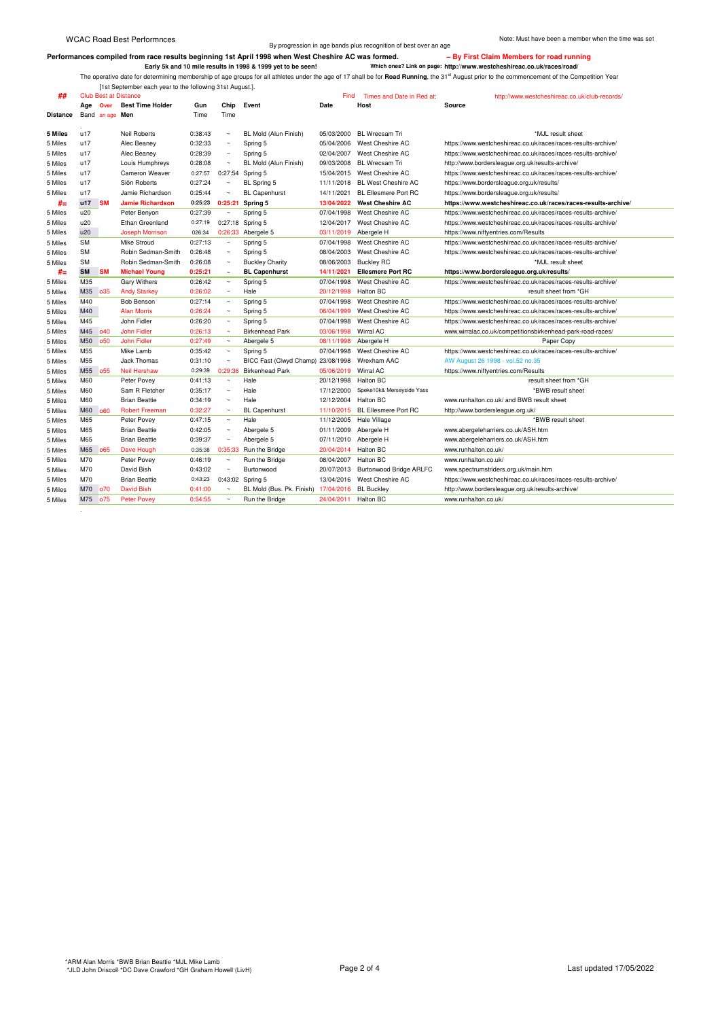.

By progression in age bands plus recognition of best over an age

Berformances compiled from race results beginning 1st April 1998 when West Cheshire AC was formed.<br>Early 5k and 10 mile results in 1998 & 1999 yet to be seen! Which ones? Link on page: http://www.westcheshireac.co.uk/race

[1st September each year to the following 31st August.].

| ##            | <b>Club Best at Distance</b> |                 |                                       |         |                                 |                           | Find       | Times and Date in Red at:      | http://www.westcheshireac.co.uk/club-records/                 |
|---------------|------------------------------|-----------------|---------------------------------------|---------|---------------------------------|---------------------------|------------|--------------------------------|---------------------------------------------------------------|
|               | Age Over                     |                 | <b>Best Time Holder</b>               | Gun     | Chip                            | Event                     | Date       | Host                           | Source                                                        |
| Distance      |                              | Band an age Men |                                       | Time    | Time                            |                           |            |                                |                                                               |
| 5 Miles       | u17                          |                 | <b>Neil Roberts</b>                   | 0:38:43 |                                 | BL Mold (Alun Finish)     | 05/03/2000 | <b>BL Wrecsam Tri</b>          | *MJL result sheet                                             |
| 5 Miles       | u17                          |                 | Alec Beaney                           | 0:32:33 |                                 | Spring 5                  | 05/04/2006 | West Cheshire AC               | https://www.westcheshireac.co.uk/races/races-results-archive/ |
| 5 Miles       | u17                          |                 | Alec Beaney                           | 0:28:39 | $\sim$                          | Spring 5                  | 02/04/2007 | West Cheshire AC               | https://www.westcheshireac.co.uk/races/races-results-archive/ |
| 5 Miles       | u17                          |                 | Louis Humphreys                       | 0:28:08 | $\sim$                          | BL Mold (Alun Finish)     | 09/03/2008 | <b>BL Wrecsam Tri</b>          | http://www.bordersleague.org.uk/results-archive/              |
| 5 Miles       | u17                          |                 | Cameron Weaver                        | 0:27:57 | 0:27:54                         | Spring 5                  | 15/04/2015 | West Cheshire AC               | https://www.westcheshireac.co.uk/races/races-results-archive/ |
| 5 Miles       | u17                          |                 | Siôn Roberts                          | 0:27:24 |                                 | BL Spring 5               | 11/11/2018 | <b>BL West Cheshire AC</b>     | https://www.bordersleague.org.uk/results/                     |
| 5 Miles       | u17                          |                 | Jamie Richardson                      | 0:25:44 |                                 | <b>BL Capenhurst</b>      | 14/11/2021 | <b>BL Ellesmere Port RC</b>    | https://www.bordersleague.org.uk/results/                     |
|               | u17                          | <b>SM</b>       | <b>Jamie Richardson</b>               | 0:25:23 | 0:25:21                         | Spring 5                  | 13/04/2022 | <b>West Cheshire AC</b>        | https://www.westcheshireac.co.uk/races/races-results-archive/ |
| #=<br>5 Miles | u20                          |                 | Peter Benyon                          | 0:27:39 | $\sim$                          | Spring 5                  | 07/04/1998 | West Cheshire AC               | https://www.westcheshireac.co.uk/races/races-results-archive/ |
| 5 Miles       | u20                          |                 | <b>Ethan Greenland</b>                | 0:27:19 | 0:27:18                         | Spring 5                  | 12/04/2017 | West Cheshire AC               | https://www.westcheshireac.co.uk/races/races-results-archive/ |
|               | u20                          |                 |                                       | 026:34  |                                 |                           |            |                                |                                                               |
| 5 Miles       | <b>SM</b>                    |                 | <b>Joseph Morrison</b><br>Mike Stroud | 0:27:13 | 0:26:33<br>$\sim$               | Abergele 5                | 03/11/2019 | Abergele H<br>West Cheshire AC | https://www.niftyentries.com/Results                          |
| 5 Miles       | <b>SM</b>                    |                 | Robin Sedman-Smith                    |         | $\sim$                          | Spring 5                  | 07/04/1998 | West Cheshire AC               | https://www.westcheshireac.co.uk/races/races-results-archive/ |
| 5 Miles       | <b>SM</b>                    |                 |                                       | 0:26:48 |                                 | Spring 5                  | 08/04/2003 |                                | https://www.westcheshireac.co.uk/races/races-results-archive/ |
| 5 Miles       |                              |                 | Robin Sedman-Smith                    | 0:26:08 | $\sim$                          | <b>Buckley Charity</b>    | 08/06/2003 | <b>Buckley RC</b>              | *MJL result sheet                                             |
| #=            | <b>SM</b><br>M35             | <b>SM</b>       | <b>Michael Young</b>                  | 0:25:21 | $\tilde{\phantom{a}}$           | <b>BL Capenhurst</b>      | 14/11/2021 | <b>Ellesmere Port RC</b>       | https://www.bordersleague.org.uk/results/                     |
| 5 Miles       |                              |                 | Gary Withers                          | 0:26:42 | $\tilde{\phantom{a}}$<br>$\sim$ | Spring 5                  | 07/04/1998 | West Cheshire AC               | https://www.westcheshireac.co.uk/races/races-results-archive/ |
| 5 Miles       | M35                          | <b>o35</b>      | <b>Andy Starkey</b>                   | 0:26:02 |                                 | Hale                      | 20/12/1998 | Halton BC                      | result sheet from *GH                                         |
| 5 Miles       | M40                          |                 | <b>Bob Benson</b>                     | 0:27:14 | $\sim$                          | Spring 5                  | 07/04/1998 | West Cheshire AC               | https://www.westcheshireac.co.uk/races/races-results-archive/ |
| 5 Miles       | M40                          |                 | <b>Alan Morris</b>                    | 0:26:24 | $\sim$                          | Spring 5                  | 06/04/1999 | West Cheshire AC               | https://www.westcheshireac.co.uk/races/races-results-archive/ |
| 5 Miles       | M45                          |                 | John Fidler                           | 0:26:20 | $\sim$                          | Spring 5                  | 07/04/1998 | West Cheshire AC               | https://www.westcheshireac.co.uk/races/races-results-archive/ |
| 5 Miles       | M45                          | <b>o40</b>      | <b>John Fidler</b>                    | 0:26:13 | $\sim$                          | <b>Birkenhead Park</b>    | 03/06/1998 | Wirral AC                      | www.wirralac.co.uk/competitionsbirkenhead-park-road-races/    |
| 5 Miles       | M50                          | <b>o50</b>      | <b>John Fidler</b>                    | 0:27:49 | $\sim$                          | Abergele 5                | 08/11/1998 | Abergele H                     | Paper Copy                                                    |
| 5 Miles       | M55                          |                 | Mike Lamb                             | 0:35:42 | $\sim$                          | Spring 5                  | 07/04/1998 | West Cheshire AC               | https://www.westcheshireac.co.uk/races/races-results-archive/ |
| 5 Miles       | M <sub>55</sub>              |                 | Jack Thomas                           | 0:31:10 | $\sim$                          | BICC Fast (Clwyd Champ)   | 23/08/1998 | Wrexham AAC                    | AW August 26 1998 - vol.52 no.35                              |
| 5 Miles       | M55                          | <b>o55</b>      | <b>Neil Hershaw</b>                   | 0:29:39 | 0:29:36                         | <b>Birkenhead Park</b>    | 05/06/2019 | Wirral AC                      | https://www.niftyentries.com/Results                          |
| 5 Miles       | M60                          |                 | Peter Povey                           | 0:41:13 | $\sim$                          | Hale                      | 20/12/1998 | <b>Halton BC</b>               | result sheet from *GH                                         |
| 5 Miles       | M60                          |                 | Sam R Fletcher                        | 0:35:17 |                                 | Hale                      | 17/12/2000 | Speke10k& Merseyside Yass      | *BWB result sheet                                             |
| 5 Miles       | M60                          |                 | <b>Brian Beattie</b>                  | 0:34:19 | $\sim$                          | Hale                      | 12/12/2004 | <b>Halton BC</b>               | www.runhalton.co.uk/ and BWB result sheet                     |
| 5 Miles       | <b>M60</b>                   | 060             | <b>Robert Freeman</b>                 | 0:32:27 | $\sim$                          | <b>BL Capenhurst</b>      | 11/10/2015 | <b>BL Ellesmere Port RC</b>    | http://www.bordersleague.org.uk/                              |
| 5 Miles       | M65                          |                 | Peter Povey                           | 0:47:15 | $\sim$                          | Hale                      | 11/12/2005 | Hale Village                   | *BWB result sheet                                             |
| 5 Miles       | M65                          |                 | <b>Brian Beattie</b>                  | 0:42:05 | $\sim$                          | Abergele 5                | 01/11/2009 | Abergele H                     | www.abergeleharriers.co.uk/ASH.htm                            |
| 5 Miles       | M65                          |                 | <b>Brian Beattie</b>                  | 0:39:37 |                                 | Abergele 5                | 07/11/2010 | Abergele H                     | www.abergeleharriers.co.uk/ASH.htm                            |
| 5 Miles       | M65                          | o65             | Dave Hough                            | 0:35:38 | 0:35:33                         | Run the Bridge            | 20/04/2014 | <b>Halton BC</b>               | www.runhalton.co.uk/                                          |
| 5 Miles       | M70                          |                 | Peter Povey                           | 0:46:19 | $\sim$                          | Run the Bridge            | 08/04/2007 | <b>Halton BC</b>               | www.runhalton.co.uk/                                          |
| 5 Miles       | M70                          |                 | David Bish                            | 0:43:02 | $\sim$                          | Burtonwood                | 20/07/2013 | Burtonwood Bridge ARLFC        | www.spectrumstriders.org.uk/main.htm                          |
| 5 Miles       | M70                          |                 | <b>Brian Beattie</b>                  | 0:43:23 | 0:43:02                         | Spring 5                  | 13/04/2016 | West Cheshire AC               | https://www.westcheshireac.co.uk/races/races-results-archive/ |
| 5 Miles       | M70                          | o70             | <b>David Bish</b>                     | 0:41:00 |                                 | BL Mold (Bus. Pk. Finish) | 17/04/2016 | <b>BL Buckley</b>              | http://www.bordersleague.org.uk/results-archive/              |
| 5 Miles       | M75                          | o75             | <b>Peter Povey</b>                    | 0:54:55 | $\sim$                          | Run the Bridge            | 24/04/2011 | <b>Halton BC</b>               | www.runhalton.co.uk/                                          |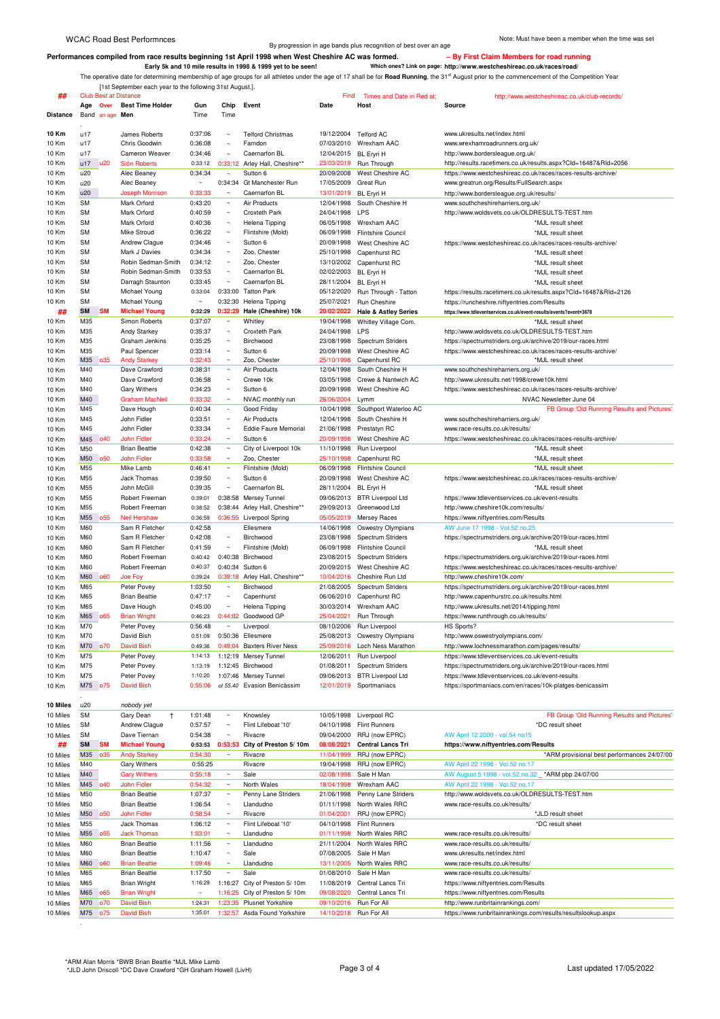Berformances compiled from race results beginning 1st April 1998 when West Cheshire AC was formed.<br>Early 5k and 10 mile results in 1998 & 1999 yet to be seen! Which ones? Link on page: http://www.westcheshireac.co.uk/race

[1st September each year to the following 31st August.].

| ##              | <b>Club Best at Distance</b> |                         |         |                          |                                | Find                  | Times and Date in Red at:       | http://www.westcheshireac.co.uk/club-records                       |
|-----------------|------------------------------|-------------------------|---------|--------------------------|--------------------------------|-----------------------|---------------------------------|--------------------------------------------------------------------|
|                 | Age<br>Over                  | <b>Best Time Holder</b> | Gun     | Chip                     | Event                          | Date                  | Host                            | <b>Source</b>                                                      |
| <b>Distance</b> | Band an age                  | Men                     | Time    | Time                     |                                |                       |                                 |                                                                    |
|                 |                              |                         |         |                          |                                |                       |                                 |                                                                    |
|                 |                              |                         |         |                          |                                |                       |                                 |                                                                    |
| 10 Km           | u17                          | James Roberts           | 0:37:06 | $\sim$                   | <b>Telford Christmas</b>       | 19/12/2004 Telford AC |                                 | www.ukresults.net/index.html                                       |
| 10 Km           | u17                          | Chris Goodwin           | 0:36:08 | $\sim$                   | Farndon                        |                       | 07/03/2010 Wrexham AAC          | www.wrexhamroadrunners.org.uk/                                     |
| 10 Km           | u17                          | Cameron Weaver          | 0:34:46 | $\sim$                   | Caernarfon BL                  | 12/04/2015 BL Eryri H |                                 | http://www.bordersleague.org.uk/                                   |
| 10 Km           | u20<br>u17                   | Siôn Roberts            | 0:33:12 | 0:33:12                  | Arley Hall, Cheshire**         |                       | 23/03/2019 Run Through          | http://results.racetimers.co.uk/results.aspx?Cld=16487&Rld=2056    |
| 10 Km           | u20                          | Alec Beaney             | 0:34:34 | $\sim$                   | Sutton 6                       | 20/09/2008            | West Cheshire AC                | https://www.westcheshireac.co.uk/races/races-results-archive/      |
|                 |                              |                         |         |                          |                                |                       |                                 |                                                                    |
| 10 Km           | u20                          | Alec Beaney             |         |                          | 0:34:34 Gt Manchester Run      | 17/05/2009            | Great Run                       | www.greatrun.org/Results/FullSearch.aspx                           |
| 10 Km           | u20                          | <b>Joseph Morrison</b>  | 0:33:33 | $\sim$                   | Caernarfon BL                  | 13/01/2019            | <b>BL Eryri H</b>               | http://www.bordersleague.org.uk/results/                           |
| 10 Km           | SM                           | Mark Orford             | 0:43:20 | $\tilde{\phantom{a}}$    | Air Products                   | 12/04/1998            | South Cheshire H                | www.southcheshireharriers.org.uk/                                  |
| 10 Km           | SM                           | Mark Orford             | 0:40:59 | $\sim$                   | Croxteth Park                  | 24/04/1998            | LPS                             | http://www.woldsvets.co.uk/OLDRESULTS-TEST.htm                     |
| 10 Km           | SM                           | Mark Orford             | 0:40:36 | $\sim$                   | Helena Tipping                 | 06/05/1998            | Wrexham AAC                     | *MJL result sheet                                                  |
|                 |                              |                         |         |                          |                                |                       |                                 |                                                                    |
| 10 Km           | SM                           | Mike Stroud             | 0:36:22 | $\sim$                   | Flintshire (Mold)              | 06/09/1998            | <b>Flintshire Council</b>       | *MJL result sheet                                                  |
| 10 Km           | SM                           | Andrew Clague           | 0:34:46 | $\sim$                   | Sutton 6                       | 20/09/1998            | West Cheshire AC                | https://www.westcheshireac.co.uk/races/races-results-archive/      |
| 10 Km           | SM                           | Mark J Davies           | 0:34:34 | $\sim$                   | Zoo, Chester                   | 25/10/1998            | Capenhurst RC                   | *MJL result sheet                                                  |
| 10 Km           | SM                           | Robin Sedman-Smith      | 0:34:12 | $\sim$                   | Zoo, Chester                   | 13/10/2002            | Capenhurst RC                   | *MJL result sheet                                                  |
|                 |                              |                         |         | $\ddot{\phantom{0}}$     |                                |                       |                                 |                                                                    |
| 10 Km           | SM                           | Robin Sedman-Smith      | 0:33:53 |                          | Caernarfon BL                  | 02/02/2003            | <b>BL Eryri H</b>               | *MJL result sheet                                                  |
| 10 Km           | SM                           | Darragh Staunton        | 0:33:45 | $\sim$                   | Caernarfon BL                  | 28/11/2004            | <b>BL Eryri H</b>               | *MJL result sheet                                                  |
| 10 Km           | SM                           | Michael Young           | 0:33:04 | 0:33:00                  | <b>Tatton Park</b>             | 05/12/2020            | Run Through - Tatton            | https://results.racetimers.co.uk/results.aspx?Cld=16487&Rld=2126   |
| 10 Km           | <b>SM</b>                    | Michael Young           |         | 0:32:30                  | Helena Tipping                 | 25/07/2021            | Run Cheshire                    | https://runcheshire.niftyentries.com/Results                       |
| ##              | <b>SM</b><br><b>SM</b>       | <b>Michael Young</b>    | 0:32:29 | 0:32:29                  | Hale (Cheshire) 10k            | 20/02/2022            | <b>Hale &amp; Astley Series</b> | https://www.tdleventservices.co.uk/event-results/events?event=3678 |
|                 |                              |                         |         |                          |                                |                       |                                 |                                                                    |
| 10 Km           | M35                          | Simon Roberts           | 0:37:07 | $\tilde{}$               | Whitley                        | 19/04/1998            | Whitley Village Com.            | *MJL result sheet                                                  |
| 10 Km           | M35                          | <b>Andy Starkey</b>     | 0:35:37 | $\sim$                   | Croxteth Park                  | 24/04/1998            | LPS                             | http://www.woldsvets.co.uk/OLDRESULTS-TEST.htm                     |
| 10 Km           | M35                          | Graham Jenkins          | 0:35:25 | $\ddot{\phantom{0}}$     | Birchwood                      | 23/08/1998            | Spectrum Striders               | https://spectrumstriders.org.uk/archive/2019/our-races.html        |
| 10 Km           | M35                          | Paul Spencer            | 0:33:14 | $\sim$                   | Sutton 6                       | 20/09/1998            | West Cheshire AC                | https://www.westcheshireac.co.uk/races/races-results-archive/      |
| 10 Km           | M35<br><b>o35</b>            | <b>Andy Starkey</b>     | 0:32:43 | $\sim$                   | Zoo, Chester                   | 25/10/1998            | Capenhurst RC                   | *MJL result sheet                                                  |
|                 |                              |                         |         |                          |                                |                       |                                 |                                                                    |
| 10 Km           | M40                          | Dave Crawford           | 0:38:31 | $\sim$                   | Air Products                   | 12/04/1998            | South Cheshire H                | www.southcheshireharriers.org.uk/                                  |
| 10 Km           | M40                          | Dave Crawford           | 0:36:58 | $\sim$                   | Crewe 10k                      | 03/05/1998            | Crewe & Nantwich AC             | http://www.ukresults.net/1998/crewe10k.html                        |
| 10 Km           | M40                          | <b>Gary Withers</b>     | 0:34:23 | $\sim$                   | Sutton 6                       | 20/09/1998            | West Cheshire AC                | https://www.westcheshireac.co.uk/races/races-results-archive/      |
| 10 Km           | M40                          | <b>Graham MacNeil</b>   | 0:33:32 | $\sim$                   | NVAC monthly run               | 26/06/2004            | Lymm                            | NVAC Newsletter June 04                                            |
|                 | M45                          | Dave Hough              | 0:40:34 | $\overline{\phantom{a}}$ | Good Friday                    | 10/04/1998            | Southport Waterloo AC           | FB Group 'Old Running Results and Pictures'                        |
| 10 Km           |                              |                         |         |                          |                                |                       |                                 |                                                                    |
| 10 Km           | M45                          | John Fidler             | 0:33:51 | $\sim$                   | Air Products                   | 12/04/1998            | South Cheshire H                | www.southcheshireharriers.org.uk/                                  |
| 10 Km           | M45                          | John Fidler             | 0:33:34 | $\sim$                   | <b>Eddie Faure Memorial</b>    | 21/06/1998            | Prestatyn RC                    | www.race-results.co.uk/results/                                    |
| 10 Km           | <b>o40</b><br>M45            | <b>John Fidler</b>      | 0:33:24 | $\sim$                   | Sutton 6                       | 20/09/1998            | West Cheshire AC                | https://www.westcheshireac.co.uk/races/races-results-archive/      |
| 10 Km           | M50                          | <b>Brian Beattie</b>    | 0:42:38 | $\tilde{\phantom{a}}$    | City of Liverpool 10k          | 11/10/1998            | Run Liverpool                   | *MJL result sheet                                                  |
|                 |                              |                         |         | $\sim$                   |                                |                       |                                 |                                                                    |
| 10 Km           | M50<br><b>o50</b>            | <b>John Fidler</b>      | 0:33:58 |                          | Zoo, Chester                   | 25/10/1998            | Capenhurst RC                   | *MJL result sheet                                                  |
| 10 Km           | M55                          | Mike Lamb               | 0:46:41 | $\sim$                   | Flintshire (Mold)              | 06/09/1998            | <b>Flintshire Council</b>       | *MJL result sheet                                                  |
| 10 Km           | M55                          | <b>Jack Thomas</b>      | 0:39:50 | $\sim$                   | Sutton 6                       | 20/09/1998            | West Cheshire AC                | https://www.westcheshireac.co.uk/races/races-results-archive/      |
| 10 Km           | M55                          | John McGill             | 0:39:35 | $\sim$                   | Caernarfon BL                  | 28/11/2004 BL Eryri H |                                 | *MJL result sheet                                                  |
|                 | M55                          | Robert Freeman          | 0:39:01 | 0:38:58                  | Mersey Tunnel                  | 09/06/2013            | <b>BTR Liverpool Ltd</b>        | https://www.tdleventservices.co.uk/event-results                   |
| 10 Km           |                              |                         |         |                          |                                |                       |                                 |                                                                    |
| 10 Km           | M55                          | Robert Freeman          | 0:38:52 |                          | 0:38:44 Arley Hall, Cheshire** | 29/09/2013            | Greenwood Ltd                   | http://www.cheshire10k.com/results/                                |
| 10 Km           | M55<br>055                   | <b>Neil Hershaw</b>     | 0:36:59 |                          | 0:36:55 Liverpool Spring       | 05/05/2019            | Mersey Races                    | https://www.niftyentries.com/Results                               |
| 10 Km           | M60                          | Sam R Fletcher          | 0:42:58 |                          | Ellesmere                      | 14/06/1998            | <b>Oswestry Olympians</b>       | AW June 17 1998 - Vol.52 no.25                                     |
| 10 Km           | M60                          | Sam R Fletcher          | 0:42:08 | $\sim$                   | Birchwood                      | 23/08/1998            | Spectrum Striders               | https://spectrumstriders.org.uk/archive/2019/our-races.html        |
|                 |                              |                         |         | $\sim$                   |                                |                       |                                 |                                                                    |
| 10 Km           | M60                          | Sam R Fletcher          | 0:41:59 |                          | Flintshire (Mold)              | 06/09/1998            | <b>Flintshire Council</b>       | *MJL result sheet                                                  |
| 10 Km           | M60                          | Robert Freeman          | 0:40:42 | 0:40:38                  | Birchwood                      | 23/08/2015            | <b>Spectrum Striders</b>        | https://spectrumstriders.org.uk/archive/2019/our-races.html        |
| 10 Km           | M60                          | Robert Freeman          | 0:40:37 | 0:40:34                  | Sutton 6                       | 20/09/2015            | West Cheshire AC                | https://www.westcheshireac.co.uk/races/races-results-archive/      |
| 10 Km           | <b>M60</b><br>060            | Joe Foy                 | 0:39:24 |                          | 0:39:18 Arley Hall, Cheshire** | 10/04/2016            | Cheshire Run Ltd                | http://www.cheshire10k.com/                                        |
| 10 Km           | M65                          | Peter Povey             | 1:03:50 | $\tilde{\phantom{a}}$    | Birchwood                      | 21/08/2005            | Spectrum Striders               | https://spectrumstriders.org.uk/archive/2019/our-races.html        |
|                 | M65                          | <b>Brian Beattie</b>    |         | $\sim$                   | Capenhurst                     |                       |                                 | http://www.capenhurstrc.co.uk/results.html                         |
| 10 Km           |                              |                         | 0:47:17 |                          |                                | 06/06/2010            | Capenhurst RC                   |                                                                    |
| 10 Km           | M65                          | Dave Hough              | 0:45:00 | $\sim$                   | Helena Tipping                 | 30/03/2014            | Wrexham AAC                     | http://www.ukresults.net/2014/tipping.html                         |
| 10 Km           | M65<br><b>o65</b>            | <b>Brian Wright</b>     | 0:46:23 | 0:44:02                  | Goodwood GP                    | 25/04/2021            | Run Through                     | https://www.runthrough.co.uk/results/                              |
| 10 Km           | M70                          | Peter Povey             | 0:56:48 | $\sim$                   | Liverpool                      |                       | 08/10/2006 Run Liverpool        | HS Sports?                                                         |
|                 | M70                          | David Bish              | 0:51:09 |                          | 0:50:36 Ellesmere              | 25/08/2013            | Oswestry Olympians              | http://www.oswestryolympians.com/                                  |
| 10 K.M          |                              |                         |         |                          |                                |                       |                                 |                                                                    |
| 10 Km           | M70<br><b>o70</b>            | <b>David Bish</b>       | 0:49:36 |                          | 0:49:04 Baxters River Ness     |                       | 25/09/2016 Loch Ness Marathon   | http://www.lochnessmarathon.com/pages/results/                     |
| 10 Km           | M75                          | Peter Povey             | 1:14:13 |                          | 1:12:19 Mersey Tunnel          | 12/06/2011            | Run Liverpool                   | https://www.tdleventservices.co.uk/event-results                   |
| 10 Km           | M75                          | Peter Povey             | 1:13:19 |                          | 1:12:45 Birchwood              | 01/08/2011            | Spectrum Striders               | https://spectrumstriders.org.uk/archive/2019/our-races.html        |
| 10 Km           | M75                          | Peter Povey             | 1:10:20 |                          | 1:07:46 Mersey Tunnel          | 09/06/2013            | <b>BTR Liverpool Ltd</b>        | https://www.tdleventservices.co.uk/event-results                   |
|                 |                              |                         |         |                          |                                |                       |                                 |                                                                    |
| 10 Km           | M75<br>o75                   | <b>David Bish</b>       | 0:55:06 |                          | ot 55.40 Evasion Benicàssim    | 12/01/2019            | Sportmaniacs                    | https://sportmaniacs.com/en/races/10k-platges-benicassim           |
|                 |                              |                         |         |                          |                                |                       |                                 |                                                                    |
| 10 Miles        | u20                          | nobody yet              |         |                          |                                |                       |                                 |                                                                    |
| 10 Miles        | <b>SM</b>                    | Gary Dean<br>$\ddagger$ | 1:01:48 | $\tilde{\phantom{a}}$    | Knowsley                       | 10/05/1998            | Liverpool RC                    | FB Group 'Old Running Results and Pictures'                        |
| 10 Miles        | SM                           | Andrew Clague           | 0:57:57 | $\sim$                   | Flint Lifeboat '10'            | 04/10/1998            | <b>Flint Runners</b>            | *DC result sheet                                                   |
|                 |                              |                         |         |                          |                                |                       |                                 |                                                                    |
| 10 Miles        | SM                           | Dave Tiernan            | 0:54:38 | $\tilde{\phantom{a}}$    | Rivacre                        | 09/04/2000            | RRJ (now EPRC)                  | AW April 12 2000 - vol.54 no15                                     |
| ##              | <b>SM</b><br><b>SM</b>       | <b>Michael Young</b>    | 0:53:53 | 0:53:53                  | City of Preston 5/10m          | 08/08/2021            | <b>Central Lancs Tri</b>        | https://www.niftyentries.com/Results                               |
| 10 Miles        | M35<br>035                   | <b>Andy Starkey</b>     | 0:54:30 | $\sim$                   | Rivacre                        | 11/04/1999            | RRJ (now EPRC)                  | *ARM provisional best performances 24/07/00                        |
| 10 Miles        |                              | Gary Withers            |         |                          | Rivacre                        | 19/04/1998            | RRJ (now EPRC)                  | AW April 22 1998 - Vol.52 no.17                                    |
|                 | M40                          |                         | 0:55:25 |                          |                                |                       |                                 |                                                                    |
| 10 Miles        | M40                          | <b>Gary Withers</b>     | 0:55:18 | $\tilde{\phantom{a}}$    | Sale                           | 02/08/1998            | Sale H Man                      | AW August 5 1998 - vol.52 no.32<br>*ARM pbp 24/07/00               |

| 10 Miles | M45     | 040 | John Fidler          | 0:54:32 | $\sim$  | North Wales                   | 18/04/1998 | Wrexham AAC           | AW April 22 1998 - Vol.52 no.17                               |
|----------|---------|-----|----------------------|---------|---------|-------------------------------|------------|-----------------------|---------------------------------------------------------------|
| 10 Miles | M50     |     | <b>Brian Beattie</b> | 1:07:37 | $\sim$  | Penny Lane Striders           | 21/06/1998 | Penny Lane Striders   | http://www.woldsvets.co.uk/OLDRESULTS-TEST.htm                |
| 10 Miles | M50     |     | <b>Brian Beattie</b> | 1:06:54 | $\sim$  | Llandudno                     | 01/11/1998 | North Wales RRC       | www.race-results.co.uk/results/                               |
| 10 Miles | M50 o50 |     | John Fidler          | 0:58:54 | $\sim$  | Rivacre                       | 01/04/2001 | RRJ (now EPRC)        | *JLD result sheet                                             |
| 10 Miles | M55     |     | Jack Thomas          | 1:06:12 | $\sim$  | Flint Lifeboat '10'           | 04/10/1998 | <b>Flint Runners</b>  | *DC result sheet                                              |
| 10 Miles | M55 055 |     | <b>Jack Thomas</b>   | 1:03:01 | $\sim$  | Llandudno                     | 01/11/1998 | North Wales RRC       | www.race-results.co.uk/results/                               |
| 10 Miles | M60     |     | <b>Brian Beattie</b> | 1:11:56 | $\sim$  | Llandudno                     | 21/11/2004 | North Wales RRC       | www.race-results.co.uk/results/                               |
| 10 Miles | M60     |     | <b>Brian Beattie</b> | 1:10:47 | $\sim$  | Sale                          |            | 07/08/2005 Sale H Man | www.ukresults.net/index.html                                  |
| 10 Miles | M60 060 |     | <b>Brian Beattie</b> | 1:09:46 | $\sim$  | Llandudno                     | 13/11/2005 | North Wales RRC       | www.race-results.co.uk/results/                               |
| 10 Miles | M65     |     | <b>Brian Beattie</b> | 1:17:50 | $\sim$  | Sale                          | 01/08/2010 | Sale H Man            | www.race-results.co.uk/results/                               |
| 10 Miles | M65     |     | <b>Brian Wright</b>  | 1:16:29 |         | 1:16:27 City of Preston 5/10m | 11/08/2019 | Central Lancs Tri     | https://www.niftyentries.com/Results                          |
| 10 Miles | M65 065 |     | <b>Brian Wright</b>  | $\sim$  |         | 1:16:25 City of Preston 5/10m | 09/08/2020 | Central Lancs Tri     | https://www.niftyentries.com/Results                          |
| 10 Miles | M70 o70 |     | David Bish           | 1:24:31 |         | 1:23:35 Plusnet Yorkshire     | 09/10/2016 | Run For All           | http://www.runbritainrankings.com/                            |
| 10 Miles | M75 075 |     | David Bish           | 1:35:01 | 1:32:57 | Asda Found Yorkshire          | 14/10/2018 | Run For All           | https://www.runbritainrankings.com/results/resultslookup.aspx |
|          |         |     |                      |         |         |                               |            |                       |                                                               |